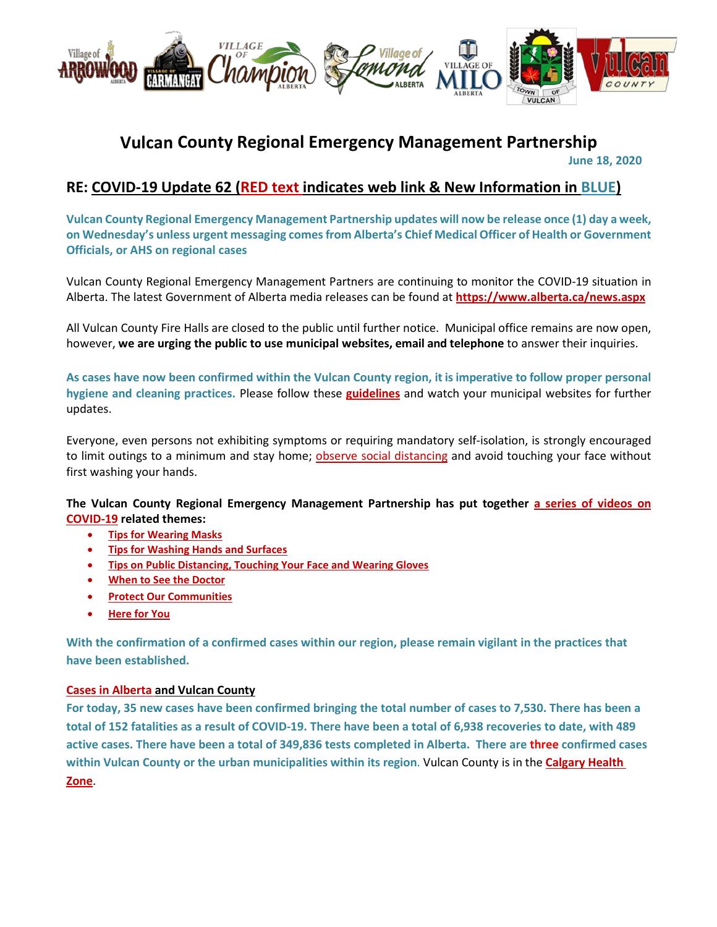

# **Vulcan County Regional Emergency Management Partnership June 18, 2020**

# **RE: COVID-19 Update 62 (RED text indicates web link & New Information in BLUE)**

**Vulcan County Regional Emergency Management Partnership updates will now be release once (1) day a week, on Wednesday's unless urgent messaging comes from Alberta's Chief Medical Officer of Health or Government Officials, or AHS on regional cases**

Vulcan County Regional Emergency Management Partners are continuing to monitor the COVID-19 situation in Alberta. The latest Government of Alberta media releases can be found at **<https://www.alberta.ca/news.aspx>**

All Vulcan County Fire Halls are closed to the public until further notice. Municipal office remains are now open, however, **we are urging the public to use municipal websites, email and telephone** to answer their inquiries.

**As cases have now been confirmed within the Vulcan County region, it is imperative to follow proper personal hygiene and cleaning practices.** Please follow these **[guidelines](https://www.albertahealthservices.ca/topics/Page16997.aspx#sign)** and watch your municipal websites for further updates.

Everyone, even persons not exhibiting symptoms or requiring mandatory self-isolation, is strongly encouraged to limit outings to a minimum and stay home; [observe social distancing](https://www.albertahealthservices.ca/topics/Page17008.aspx) and avoid touching your face without first washing your hands.

**The Vulcan County Regional Emergency Management Partnership has put together [a series of videos on](https://villageoflomond.ca/allremavideos/)  [COVID-19](https://villageoflomond.ca/allremavideos/) related themes:**

- **[Tips for Wearing Masks](https://youtu.be/mS2rSlOT2n0)**
- **[Tips for Washing Hands and Surfaces](https://youtu.be/pWpGo3uQe-4)**
- **[Tips on Public Distancing, Touching Your Face and Wearing Gloves](https://youtu.be/84qhhl06TII)**
- **[When to See the Doctor](https://youtu.be/raDnetqvEXk)**
- **[Protect Our Communities](https://www.youtube.com/watch?v=swS6GGn_iYg&feature=youtu.be)**
- **[Here for You](https://www.youtube.com/watch?v=QhxWFY7HuM4&feature=youtu.be)**

**With the confirmation of a confirmed cases within our region, please remain vigilant in the practices that have been established.**

#### **[Cases in Alberta](https://covid19stats.alberta.ca/) and Vulcan County**

**For today, 35 new cases have been confirmed bringing the total number of cases to 7,530. There has been a total of 152 fatalities as a result of COVID-19. There have been a total of 6,938 recoveries to date, with 489 active cases. There have been a total of 349,836 tests completed in Alberta. There are three confirmed cases within Vulcan County or the urban municipalities within its region**. Vulcan County is in the **[Calgary Health](https://www.albertahealthservices.ca/ahs-map-ahs-zones.pdf)  [Zone](https://www.albertahealthservices.ca/ahs-map-ahs-zones.pdf)**.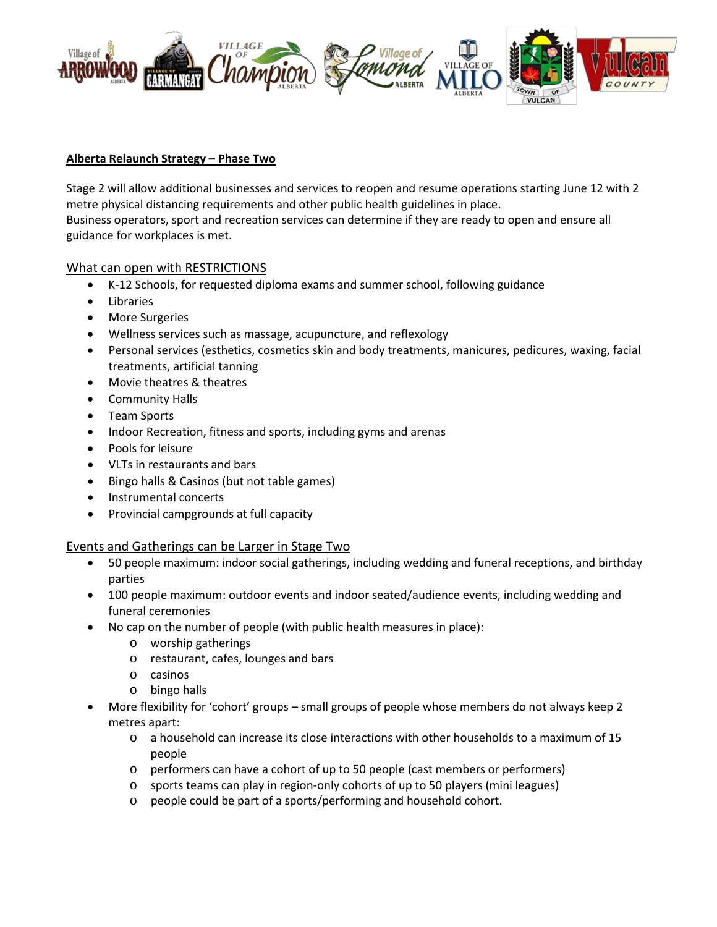

#### **Alberta Relaunch Strategy – Phase Two**

Stage 2 will allow additional businesses and services to reopen and resume operations starting June 12 with 2 metre physical distancing requirements and other public health guidelines in place. Business operators, sport and recreation services can determine if they are ready to open and ensure all guidance for workplaces is met.

#### What can open with RESTRICTIONS

- K-12 Schools, for requested diploma exams and summer school, following guidance
- Libraries
- More Surgeries
- Wellness services such as massage, acupuncture, and reflexology
- Personal services (esthetics, cosmetics skin and body treatments, manicures, pedicures, waxing, facial treatments, artificial tanning
- Movie theatres & theatres
- Community Halls
- Team Sports
- Indoor Recreation, fitness and sports, including gyms and arenas
- Pools for leisure
- VLTs in restaurants and bars
- Bingo halls & Casinos (but not table games)
- Instrumental concerts
- Provincial campgrounds at full capacity

#### Events and Gatherings can be Larger in Stage Two

- 50 people maximum: indoor social gatherings, including wedding and funeral receptions, and birthday parties
- 100 people maximum: outdoor events and indoor seated/audience events, including wedding and funeral ceremonies
- No cap on the number of people (with public health measures in place):
	- o worship gatherings
	- o restaurant, cafes, lounges and bars
	- o casinos
	- o bingo halls
- More flexibility for 'cohort' groups small groups of people whose members do not always keep 2 metres apart:
	- o a household can increase its close interactions with other households to a maximum of 15 people
	- o performers can have a cohort of up to 50 people (cast members or performers)
	- o sports teams can play in region-only cohorts of up to 50 players (mini leagues)
	- o people could be part of a sports/performing and household cohort.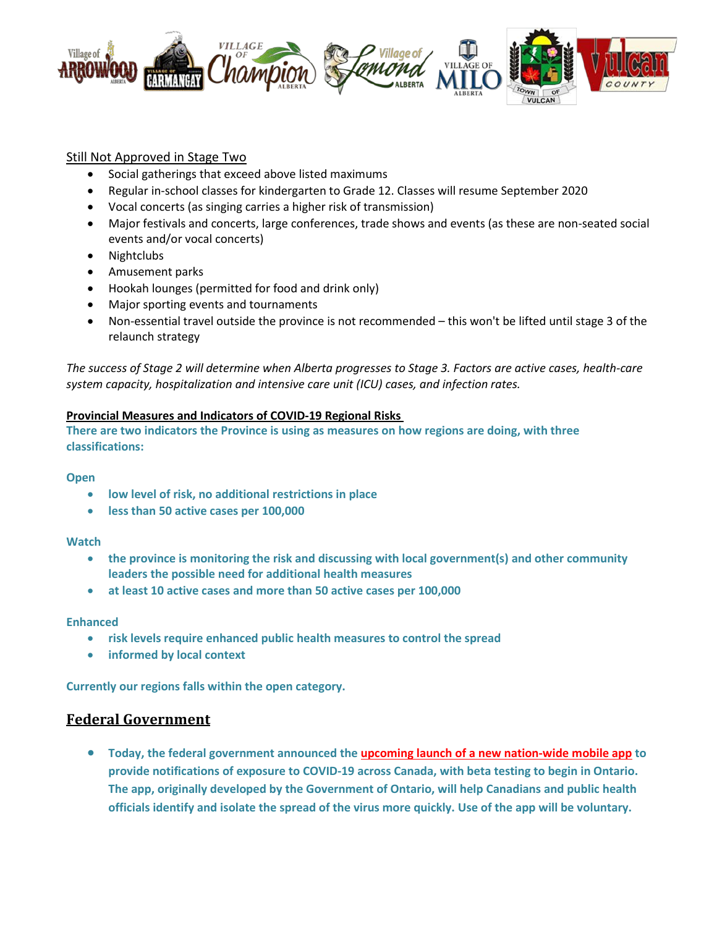

# Still Not Approved in Stage Two

- Social gatherings that exceed above listed maximums
- Regular in-school classes for kindergarten to Grade 12. Classes will resume September 2020
- Vocal concerts (as singing carries a higher risk of transmission)
- Major festivals and concerts, large conferences, trade shows and events (as these are non-seated social events and/or vocal concerts)
- Nightclubs
- Amusement parks
- Hookah lounges (permitted for food and drink only)
- Major sporting events and tournaments
- Non-essential travel outside the province is not recommended this won't be lifted until stage 3 of the relaunch strategy

*The success of Stage 2 will determine when Alberta progresses to Stage 3. Factors are active cases, health-care system capacity, hospitalization and intensive care unit (ICU) cases, and infection rates.*

#### **Provincial Measures and Indicators of COVID-19 Regional Risks**

**There are two indicators the Province is using as measures on how regions are doing, with three classifications:**

#### **Open**

- **low level of risk, no additional restrictions in place**
- **less than 50 active cases per 100,000**

#### **Watch**

- **the province is monitoring the risk and discussing with local government(s) and other community leaders the possible need for additional health measures**
- **at least 10 active cases and more than 50 active cases per 100,000**

#### **Enhanced**

- **risk levels require enhanced public health measures to control the spread**
- **informed by local context**

**Currently our regions falls within the open category.**

# **Federal Government**

• **Today, the federal government announced the [upcoming launch of a new nation-wide mobile app](https://pm.gc.ca/en/news/news-releases/2020/06/18/prime-minister-announces-new-mobile-app-help-notify-canadians-covid) to provide notifications of exposure to COVID-19 across Canada, with beta testing to begin in Ontario. The app, originally developed by the Government of Ontario, will help Canadians and public health officials identify and isolate the spread of the virus more quickly. Use of the app will be voluntary.**